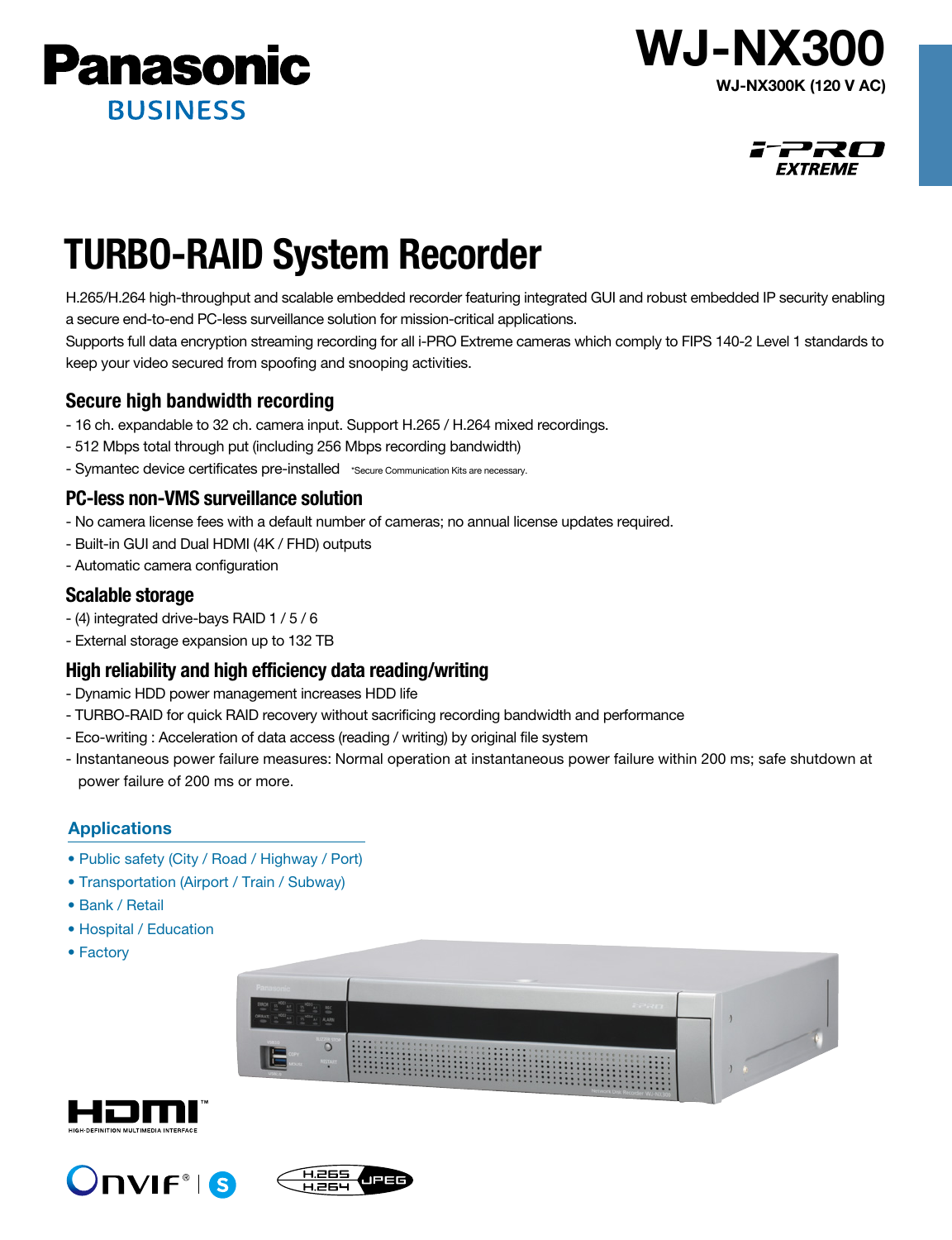





# TURBO-RAID System Recorder

H.265/H.264 high-throughput and scalable embedded recorder featuring integrated GUI and robust embedded IP security enabling a secure end-to-end PC-less surveillance solution for mission-critical applications.

Supports full data encryption streaming recording for all i-PRO Extreme cameras which comply to FIPS 140-2 Level 1 standards to keep your video secured from spoofing and snooping activities.

# Secure high bandwidth recording

- 16 ch. expandable to 32 ch. camera input. Support H.265 / H.264 mixed recordings.
- 512 Mbps total through put (including 256 Mbps recording bandwidth)
- Symantec device certificates pre-installed \*Secure Communication Kits are necessary.

## PC-less non-VMS surveillance solution

- No camera license fees with a default number of cameras; no annual license updates required.
- Built-in GUI and Dual HDMI (4K / FHD) outputs
- Automatic camera configuration

#### Scalable storage

- (4) integrated drive-bays RAID 1 / 5 / 6
- External storage expansion up to 132 TB

### High reliability and high efficiency data reading/writing

- Dynamic HDD power management increases HDD life
- TURBO-RAID for quick RAID recovery without sacrificing recording bandwidth and performance
- Eco-writing : Acceleration of data access (reading / writing) by original file system
- Instantaneous power failure measures: Normal operation at instantaneous power failure within 200 ms; safe shutdown at power failure of 200 ms or more.

#### **Applications**

- Public safety (City / Road / Highway / Port)
- Transportation (Airport / Train / Subway)
- Bank / Retail
- Hospital / Education
- Factory